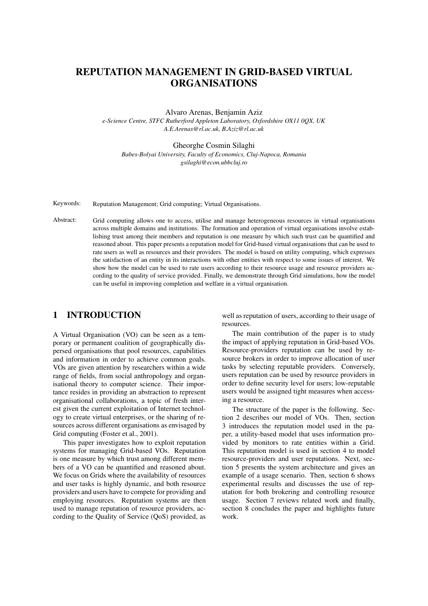# REPUTATION MANAGEMENT IN GRID-BASED VIRTUAL ORGANISATIONS

Alvaro Arenas, Benjamin Aziz

*e-Science Centre, STFC Rutherford Appleton Laboratory, Oxfordshire OX11 0QX, UK A.E.Arenas@rl.ac.uk, B.Aziz@rl.ac.uk*

#### Gheorghe Cosmin Silaghi

*Babes-Bolyai University, Faculty of Economics, Cluj-Napoca, Romania gsilaghi@econ.ubbcluj.ro*

Keywords: Reputation Management; Grid computing; Virtual Organisations.

Abstract: Grid computing allows one to access, utilise and manage heterogeneous resources in virtual organisations across multiple domains and institutions. The formation and operation of virtual organisations involve establishing trust among their members and reputation is one measure by which such trust can be quantified and reasoned about. This paper presents a reputation model for Grid-based virtual organisations that can be used to rate users as well as resources and their providers. The model is based on utility computing, which expresses the satisfaction of an entity in its interactions with other entities with respect to some issues of interest. We show how the model can be used to rate users according to their resource usage and resource providers according to the quality of service provided. Finally, we demonstrate through Grid simulations, how the model can be useful in improving completion and welfare in a virtual organisation.

### 1 INTRODUCTION

A Virtual Organisation (VO) can be seen as a temporary or permanent coalition of geographically dispersed organisations that pool resources, capabilities and information in order to achieve common goals. VOs are given attention by researchers within a wide range of fields, from social anthropology and organisational theory to computer science. Their importance resides in providing an abstraction to represent organisational collaborations, a topic of fresh interest given the current exploitation of Internet technology to create virtual enterprises, or the sharing of resources across different organisations as envisaged by Grid computing (Foster et al., 2001).

This paper investigates how to exploit reputation systems for managing Grid-based VOs. Reputation is one measure by which trust among different members of a VO can be quantified and reasoned about. We focus on Grids where the availability of resources and user tasks is highly dynamic, and both resource providers and users have to compete for providing and employing resources. Reputation systems are then used to manage reputation of resource providers, according to the Quality of Service (QoS) provided, as

well as reputation of users, according to their usage of resources.

The main contribution of the paper is to study the impact of applying reputation in Grid-based VOs. Resource-providers reputation can be used by resource brokers in order to improve allocation of user tasks by selecting reputable providers. Conversely, users reputation can be used by resource providers in order to define security level for users; low-reputable users would be assigned tight measures when accessing a resource.

The structure of the paper is the following. Section 2 describes our model of VOs. Then, section 3 introduces the reputation model used in the paper, a utility-based model that uses information provided by monitors to rate entities within a Grid. This reputation model is used in section 4 to model resource-providers and user reputations. Next, section 5 presents the system architecture and gives an example of a usage scenario. Then, section 6 shows experimental results and discusses the use of reputation for both brokering and controlling resource usage. Section 7 reviews related work and finally, section 8 concludes the paper and highlights future work.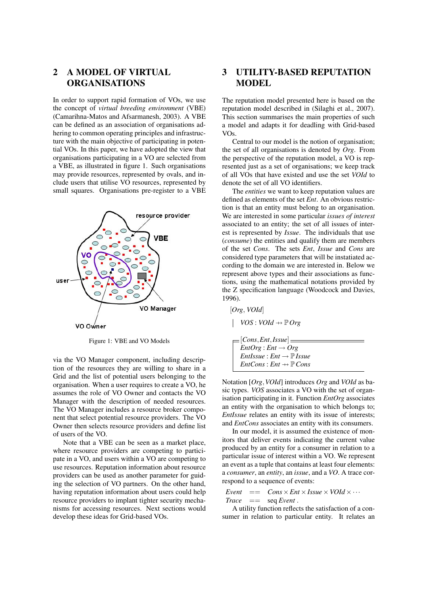## 2 A MODEL OF VIRTUAL ORGANISATIONS

In order to support rapid formation of VOs, we use the concept of *virtual breeding environment* (VBE) (Camarihna-Matos and Afsarmanesh, 2003). A VBE can be defined as an association of organisations adhering to common operating principles and infrastructure with the main objective of participating in potential VOs. In this paper, we have adopted the view that organisations participating in a VO are selected from a VBE, as illustrated in figure 1. Such organisations may provide resources, represented by ovals, and include users that utilise VO resources, represented by small squares. Organisations pre-register to a VBE



Figure 1: VBE and VO Models

via the VO Manager component, including description of the resources they are willing to share in a Grid and the list of potential users belonging to the organisation. When a user requires to create a VO, he assumes the role of VO Owner and contacts the VO Manager with the description of needed resources. The VO Manager includes a resource broker component that select potential resource providers. The VO Owner then selects resource providers and define list of users of the VO.

Note that a VBE can be seen as a market place, where resource providers are competing to participate in a VO, and users within a VO are competing to use resources. Reputation information about resource providers can be used as another parameter for guiding the selection of VO partners. On the other hand, having reputation information about users could help resource providers to implant tighter security mechanisms for accessing resources. Next sections would develop these ideas for Grid-based VOs.

## 3 UTILITY-BASED REPUTATION **MODEL**

The reputation model presented here is based on the reputation model described in (Silaghi et al., 2007). This section summarises the main properties of such a model and adapts it for deadling with Grid-based VOs.

Central to our model is the notion of organisation; the set of all organisations is denoted by *Org*. From the perspective of the reputation model, a VO is represented just as a set of organisations; we keep track of all VOs that have existed and use the set *VOId* to denote the set of all VO identifiers.

The *entities* we want to keep reputation values are defined as elements of the set *Ent*. An obvious restriction is that an entity must belong to an organisation. We are interested in some particular *issues of interest* associated to an entity; the set of all issues of interest is represented by *Issue*. The individuals that use (*consume*) the entities and qualify them are members of the set *Cons*. The sets *Ent*, *Issue* and *Cons* are considered type parameters that will be instatiated according to the domain we are interested in. Below we represent above types and their associations as functions, using the mathematical notations provided by the Z specification language (Woodcock and Davies, 1996).

$$
[Org, VOld]
$$
\n
$$
| VOS : VOld \rightarrow \mathbb{P} \, Org
$$
\n
$$
= [Cons, Ent, Issue]
$$
\n
$$
EntOrg : Ent \rightarrow Org
$$
\n
$$
EntIs sue : Ent \rightarrow \mathbb{P} \, Issue
$$
\n
$$
EntCons : Ent \rightarrow \mathbb{P} \, Cons
$$

Notation [*Org*,*VOId*] introduces *Org* and *VOId* as basic types. *VOS* associates a VO with the set of organisation participating in it. Function *EntOrg* associates an entity with the organisation to which belongs to; *EntIssue* relates an entity with its issue of interests; and *EntCons* associates an entity with its consumers.

In our model, it is assumed the existence of monitors that deliver events indicating the current value produced by an entity for a consumer in relation to a particular issue of interest within a VO. We represent an event as a tuple that contains at least four elements: a *consumer*, an *entity*, an *issue*, and a *VO*. A trace correspond to a sequence of events:

*Event* == 
$$
Cons \times Ent \times Issue \times VOld \times \cdots
$$
  
*Trace* == seq *Event*.

A utility function reflects the satisfaction of a consumer in relation to particular entity. It relates an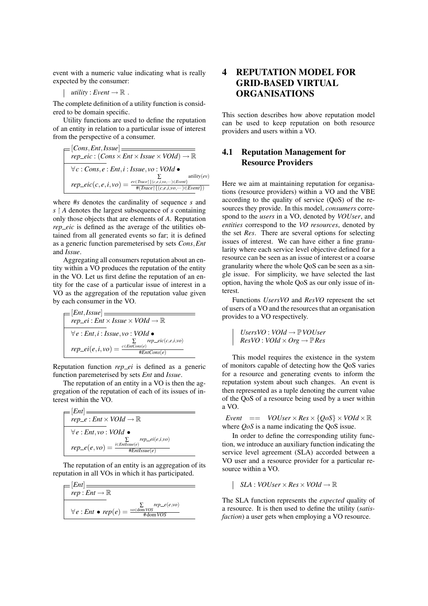event with a numeric value indicating what is really expected by the consumer:

$$
utility: Event \rightarrow \mathbb{R} .
$$

The complete definition of a utility function is considered to be domain specific.

Utility functions are used to define the reputation of an entity in relation to a particular issue of interest from the perspective of a consumer.

$$
=[Cons, Ent, Issue] \overline{=}
$$
\n
$$
rep\_eic : (Cons \times Ent \times Issue \times VOld) \rightarrow \mathbb{R}
$$
\n
$$
\forall c : Cons, e : Ent, i : Issue, vo : VOld \bullet
$$
\n
$$
rep\_eic(c, e, i, vo) = \frac{ev \in Trace \{ \{ (c, e, i, vo, \cdots) \in Event \} \}}{\# (Trace \{ \{ (c, e, i, vo, \cdots) \in Event \} \})}
$$

where #*s* denotes the cardinality of sequence *s* and  $s \restriction A$  denotes the largest subsequence of *s* containing only those objects that are elements of *A*. Reputation *rep\_eic* is defined as the average of the utilities obtained from all generated events so far; it is defined as a generic function paremeterised by sets *Cons*,*Ent* and *Issue*.

Aggregating all consumers reputation about an entity within a VO produces the reputation of the entity in the VO. Let us first define the reputation of an entity for the case of a particular issue of interest in a VO as the aggregation of the reputation value given by each consumer in the VO.

$$
\begin{array}{l}\n\begin{aligned}\n\mathcal{F}[Ent, Issue] &= \\
\hline\nrep\_ei : Ent \times Issue \times VOld \rightarrow \mathbb{R} \\
\hline\n\forall e : Ent, i : Issue, vo : VOld \bullet \\
\hline\n\sum_{rep\_ei(e, i, vo)} \text{rep\_ei}(e, i, vo) &= \frac{c \in EntCons(e)}{\# EntCons(e)}\n\end{aligned}\n\end{array}
$$

Reputation function *rep\_ei* is defined as a generic function paremeterised by sets *Ent* and *Issue*.

The reputation of an entity in a VO is then the aggregation of the reputation of each of its issues of interest within the VO.

$$
\begin{aligned}\n\mathcal{F}[Ent] &= \frac{[Ent]}{rep\_e : Ent \times VOld \rightarrow \mathbb{R}} \\
\hline\n\forall e : Ent, vo : VOld \bullet \\
\mathcal{F}[E_{int}] &= \frac{\sum_{i \in \text{Enllsuse}(e)} rep\_ei(e,i,vo)}{\sum_{i \in \text{Enllsuse}(e)} p\_ei(e,i,vo)}}\n\end{aligned}
$$

The reputation of an entity is an aggregation of its reputation in all VOs in which it has participated.

$$
= [Ent] \over
$$

$$
rep : Ent \rightarrow \mathbb{R}
$$

$$
\forall e : Ent \bullet rep(e) = \frac{\sum_{vo \in dom\,VOS} rep\_{e}(e,vo)}{\#dom\,VOS}
$$

# 4 REPUTATION MODEL FOR GRID-BASED VIRTUAL ORGANISATIONS

This section describes how above reputation model can be used to keep reputation on both resource providers and users within a VO.

## 4.1 Reputation Management for Resource Providers

Here we aim at maintaining reputation for organisations (resource providers) within a VO and the VBE according to the quality of service (QoS) of the resources they provide. In this model, *consumers* correspond to the *users* in a VO, denoted by *VOUser*, and *entities* correspond to the *VO resources*, denoted by the set *Res*. There are several options for selecting issues of interest. We can have either a fine granularity where each service level objective defined for a resource can be seen as an issue of interest or a coarse granularity where the whole QoS can be seen as a single issue. For simplicity, we have selected the last option, having the whole QoS as our only issue of interest.

Functions *UsersVO* and *ResVO* represent the set of users of a VO and the resources that an organisation provides to a VO respectively.

$$
UsersVO: VOld \rightarrow \mathbb{P} VOUSer
$$
  

$$
ResVO: VOld \times Org \rightarrow \mathbb{P} Res
$$

This model requires the existence in the system of monitors capable of detecting how the QoS varies for a resource and generating events to inform the reputation system about such changes. An event is then represented as a tuple denoting the current value of the QoS of a resource being used by a user within a VO.

*Event*  $==$  *VOUser* × *Res* × {*QoS*} × *VOId* × R where *QoS* is a name indicating the QoS issue.

In order to define the corresponding utility function, we introduce an auxiliary function indicating the service level agreement (SLA) accorded between a VO user and a resource provider for a particular resource within a VO.

$$
|\quad SLA: VOUSer \times Res \times VOld \rightarrow \mathbb{R}
$$

The SLA function represents the *expected* quality of a resource. It is then used to define the utility (*satisfaction*) a user gets when employing a VO resource.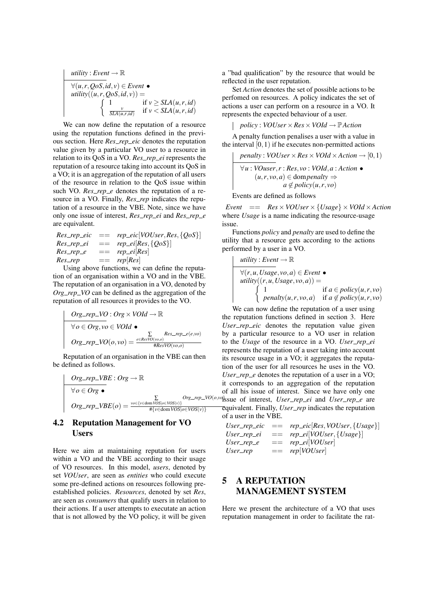$$
\begin{array}{ll}\n\text{utility}: Event \rightarrow \mathbb{R} \\
\hline\n\forall (u, r, QoS, id, v) \in Event \bullet \\
\text{utility}((u, r, QoS, id, v)) = \\
\left\{\n\begin{array}{ll}\n1 & \text{if } v \geq SLA(u, r, id) \\
\frac{v}{SLA(u, r, id)} & \text{if } v < SLA(u, r, id)\n\end{array}\n\right.\n\end{array}
$$

We can now define the reputation of a resource using the reputation functions defined in the previous section. Here *Res rep eic* denotes the reputation value given by a particular VO user to a resource in relation to its QoS in a VO. *Res\_rep\_ei* represents the reputation of a resource taking into account its QoS in a VO; it is an aggregation of the reputation of all users of the resource in relation to the QoS issue within such VO.  $Res\_rep\_e$  denotes the reputation of a resource in a VO. Finally, *Res\_rep* indicates the reputation of a resource in the VBE. Note, since we have only one issue of interest, *Res rep ei* and *Res rep e* are equivalent.

$$
Res\_rep\_eic
$$
 ==  $rep\_ei[VOUser, Res, {QoS}]$   
\n
$$
Res\_rep\_ei
$$
 ==  $rep\_ei[Res, {QoS}]$   
\n
$$
Res\_rep\_e
$$
 ==  $rep\_ei[Res]$   
\n
$$
Res\_rep
$$
 ==  $rep[Res]$ 

Using above functions, we can define the reputation of an organisation within a VO and in the VBE. The reputation of an organisation in a VO, denoted by *Org\_rep\_VO* can be defined as the aggregation of the reputation of all resources it provides to the VO.

$$
Org\_rep\_VO : Org \times VOld \rightarrow \mathbb{R}
$$
  
\n
$$
\forall o \in Org, vo \in VOld \bullet
$$
  
\n
$$
Org\_rep\_VO(o,vo) = \frac{\sum_{e \in Res VO(vo,o)} Res\_rep\_e(e,vo)}{\#Res VO(vo,o)}
$$

Reputation of an organisation in the VBE can then be defined as follows.

$$
\begin{array}{|c|}\n\hline\n\text{Org\_rep\_VBE : } \text{Org} \rightarrow \mathbb{R} \\
\hline\n\forall o \in \text{Org} \bullet \\
\text{Org\_rep\_VBE}(o) = \frac{\sum_{v \in \{v \in \text{dom } \text{VOS}|o \in \text{VOS}(v)\}} \text{Org\_rep\_VO}(o)}{\#\{v \in \text{dom } \text{VOS}|o \in \text{VOS}(v)\}}\n\end{array}
$$

### 4.2 Reputation Management for VO Users

Here we aim at maintaining reputation for users within a VO and the VBE according to their usage of VO resources. In this model, *users*, denoted by set *VOUser*, are seen as *entities* who could execute some pre-defined actions on resources following preestablished policies. *Resources*, denoted by set *Res*, are seen as *consumers* that qualify users in relation to their actions. If a user attempts to executate an action that is not allowed by the VO policy, it will be given

a "bad qualification" by the resource that would be reflected in the user reputation.

Set *Action* denotes the set of possible actions to be perfomed on resources. A policy indicates the set of actions a user can perform on a resource in a VO. It represents the expected behaviour of a user.

*policy* : *VOUser* ×*Res*×*VOId* → P*Action*

A penalty function penalises a user with a value in the interval  $[0,1)$  if he executes non-permitted actions

*penalty* : *VOUser*  $\times$  *Res*  $\times$  *VOId*  $\times$  *Action*  $\rightarrow$  [0, 1) ∀*u* : *VOuser*,*r* : *Res*,*vo* : *VOId*,*a* : *Action* •  $(u, r, vo, a) ∈  $dompenalty \Rightarrow$$  $a \notin \text{policy}(u, r, \text{vo})$ 

Events are defined as follows

 $Event =$   $Res \times VOUser \times \{Usage\} \times VOId \times Action$ where *Usage* is a name indicating the resource-usage issue.

Functions *policy* and *penalty* are used to define the utility that a resource gets according to the actions performed by a user in a VO.

$$
utility: Event \rightarrow \mathbb{R}
$$
\n
$$
\forall (r, u, Usage, vo, a) \in Event \bullet
$$
\n
$$
utility((r, u, Usage, vo, a)) =
$$
\n
$$
\begin{cases}\n1 & \text{if } a \in policy(u, r, vo) \\
penalty(u, r, vo, a) & \text{if } a \notin policy(u, r, vo)\n\end{cases}
$$

*Org*-*rep*-*VO*( $o$ ,*v*<sup> $d$ </sup>)ssue of interest, *User*-*rep*-*ei* and *User*-*rep*-*e* are We can now define the reputation of a user using the reputation functions defined in section 3. Here User\_rep\_eic denotes the reputation value given by a particular resource to a VO user in relation to the *Usage* of the resource in a VO. *User\_rep\_ei* represents the reputation of a user taking into account its resource usage in a VO; it aggregates the reputation of the user for all resources he uses in the VO. User\_rep\_e denotes the reputation of a user in a VO; it corresponds to an aggregation of the reputation of all his issue of interest. Since we have only one equivalent. Finally, *User rep* indicates the reputation of a user in the VBE.

\n
$$
\text{User\_rep\_eic} = \text{rep\_eic}[\text{Res}, \text{VOUser}, \{\text{Usage}\}]
$$
\n

\n\n $\text{User\_rep\_ei} = \text{rep\_ei}[\text{VOUser}, \{\text{Usage}\}]$ \n

\n\n $\text{User\_rep\_e} = \text{rep\_ei}[\text{VOUser}]$ \n

\n\n $\text{User\_rep} = \text{rep}[\text{VOUser}]$ \n

## 5 A REPUTATION MANAGEMENT SYSTEM

Here we present the architecture of a VO that uses reputation management in order to facilitate the rat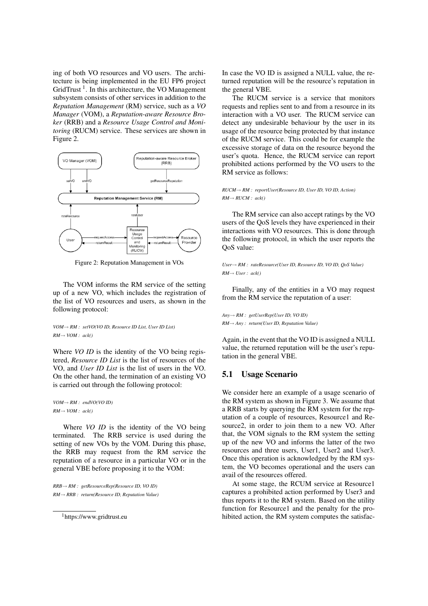ing of both VO resources and VO users. The architecture is being implemented in the EU FP6 project GridTrust<sup>1</sup>. In this architecture, the VO Management subsystem consists of other services in addition to the *Reputation Management* (RM) service, such as a *VO Manager* (VOM), a *Reputation-aware Resource Broker* (RRB) and a *Resource Usage Control and Monitoring* (RUCM) service. These services are shown in Figure 2.



Figure 2: Reputation Management in VOs

The VOM informs the RM service of the setting up of a new VO, which includes the registration of the list of VO resources and users, as shown in the following protocol:

#### *VOM*→ *RM : setVO(VO ID, Resource ID List, User ID List) RM*→ *VOM : ack()*

Where *VO ID* is the identity of the VO being registered, *Resource ID List* is the list of resources of the VO, and *User ID List* is the list of users in the VO. On the other hand, the termination of an existing VO is carried out through the following protocol:

*VOM*→ *RM : endVO(VO ID) RM*→ *VOM : ack()*

Where *VO ID* is the identity of the VO being terminated. The RRB service is used during the setting of new VOs by the VOM. During this phase, the RRB may request from the RM service the reputation of a resource in a particular VO or in the general VBE before proposing it to the VOM:

*RRB*→ *RM : getResourceRep(Resource ID, VO ID) RM*→ *RRB : return(Resource ID, Reputation Value)* In case the VO ID is assigned a NULL value, the returned reputation will be the resource's reputation in the general VBE.

The RUCM service is a service that monitors requests and replies sent to and from a resource in its interaction with a VO user. The RUCM service can detect any undesirable behaviour by the user in its usage of the resource being protected by that instance of the RUCM service. This could be for example the excessive storage of data on the resource beyond the user's quota. Hence, the RUCM service can report prohibited actions performed by the VO users to the RM service as follows:

#### *RUCM*→ *RM : reportUser(Resource ID, User ID, VO ID, Action)*  $RM \rightarrow RUCM : ack()$

The RM service can also accept ratings by the VO users of the QoS levels they have experienced in their interactions with VO resources. This is done through the following protocol, in which the user reports the QoS value:

*User*→ *RM : rateResource(User ID, Resource ID, VO ID, QoS Value) RM*→ *User : ack()*

Finally, any of the entities in a VO may request from the RM service the reputation of a user:

*Any*→ *RM : getUserRep(User ID, VO ID) RM*→ *Any : return(User ID, Reputation Value)*

Again, in the event that the VO ID is assigned a NULL value, the returned reputation will be the user's reputation in the general VBE.

### 5.1 Usage Scenario

We consider here an example of a usage scenario of the RM system as shown in Figure 3. We assume that a RRB starts by querying the RM system for the reputation of a couple of resources, Resource1 and Resource2, in order to join them to a new VO. After that, the VOM signals to the RM system the setting up of the new VO and informs the latter of the two resources and three users, User1, User2 and User3. Once this operation is acknowledged by the RM system, the VO becomes operational and the users can avail of the resources offered.

At some stage, the RCUM service at Resource1 captures a prohibited action performed by User3 and thus reports it to the RM system. Based on the utility function for Resource1 and the penalty for the prohibited action, the RM system computes the satisfac-

<sup>1</sup>https://www.gridtrust.eu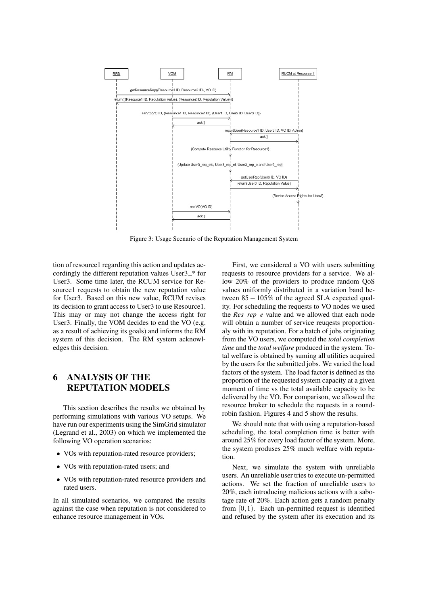

Figure 3: Usage Scenario of the Reputation Management System

tion of resource1 regarding this action and updates accordingly the different reputation values  $User3-*$  for User3. Some time later, the RCUM service for Resource1 requests to obtain the new reputation value for User3. Based on this new value, RCUM revises its decision to grant access to User3 to use Resource1. This may or may not change the access right for User3. Finally, the VOM decides to end the VO (e.g. as a result of achieving its goals) and informs the RM system of this decision. The RM system acknowledges this decision.

# 6 ANALYSIS OF THE REPUTATION MODELS

This section describes the results we obtained by performing simulations with various VO setups. We have run our experiments using the SimGrid simulator (Legrand et al., 2003) on which we implemented the following VO operation scenarios:

- VOs with reputation-rated resource providers;
- VOs with reputation-rated users; and
- VOs with reputation-rated resource providers and rated users.

In all simulated scenarios, we compared the results against the case when reputation is not considered to enhance resource management in VOs.

First, we considered a VO with users submitting requests to resource providers for a service. We allow 20% of the providers to produce random QoS values uniformly distributed in a variation band between  $85 - 105\%$  of the agreed SLA expected quality. For scheduling the requests to VO nodes we used the *Res\_rep\_e* value and we allowed that each node will obtain a number of service reuqests proportionaly with its reputation. For a batch of jobs originating from the VO users, we computed the *total completion time* and the *total welfare* produced in the system. Total welfare is obtained by suming all utilities acquired by the users for the submitted jobs. We varied the load factors of the system. The load factor is defined as the proportion of the requested system capacity at a given moment of time vs the total available capacity to be delivered by the VO. For comparison, we allowed the resource broker to schedule the requests in a roundrobin fashion. Figures 4 and 5 show the results.

We should note that with using a reputation-based scheduling, the total completion time is better with around 25% for every load factor of the system. More, the system produses 25% much welfare with reputation.

Next, we simulate the system with unreliable users. An unreliable user tries to execute un-permitted actions. We set the fraction of unreliable users to 20%, each introducing malicious actions with a sabotage rate of 20%. Each action gets a random penalty from  $[0,1)$ . Each un-permitted request is identified and refused by the system after its execution and its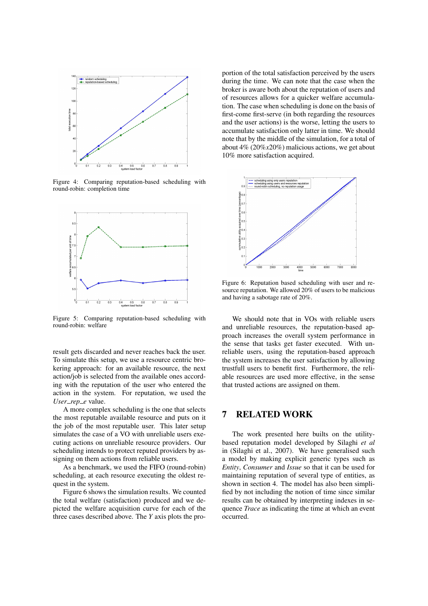

Figure 4: Comparing reputation-based scheduling with round-robin: completion time



Figure 5: Comparing reputation-based scheduling with round-robin: welfare

result gets discarded and never reaches back the user. To simulate this setup, we use a resource centric brokering approach: for an available resource, the next action/job is selected from the available ones according with the reputation of the user who entered the action in the system. For reputation, we used the User\_rep\_e value.

A more complex scheduling is the one that selects the most reputable available resource and puts on it the job of the most reputable user. This later setup simulates the case of a VO with unreliable users executing actions on unreliable resource providers. Our scheduling intends to protect reputed providers by assigning on them actions from reliable users.

As a benchmark, we used the FIFO (round-robin) scheduling, at each resource executing the oldest request in the system.

Figure 6 shows the simulation results. We counted the total welfare (satisfaction) produced and we depicted the welfare acquisition curve for each of the three cases described above. The *Y* axis plots the proportion of the total satisfaction perceived by the users during the time. We can note that the case when the broker is aware both about the reputation of users and of resources allows for a quicker welfare accumulation. The case when scheduling is done on the basis of first-come first-serve (in both regarding the resources and the user actions) is the worse, letting the users to accumulate satisfaction only latter in time. We should note that by the middle of the simulation, for a total of about 4% (20%*x*20%) malicious actions, we get about 10% more satisfaction acquired.



Figure 6: Reputation based scheduling with user and resource reputation. We allowed 20% of users to be malicious and having a sabotage rate of 20%.

We should note that in VOs with reliable users and unreliable resources, the reputation-based approach increases the overall system performance in the sense that tasks get faster executed. With unreliable users, using the reputation-based approach the system increases the user satisfaction by allowing trustfull users to benefit first. Furthermore, the reliable resources are used more effective, in the sense that trusted actions are assigned on them.

### 7 RELATED WORK

The work presented here builts on the utilitybased reputation model developed by Silaghi *et al* in (Silaghi et al., 2007). We have generalised such a model by making explicit generic types such as *Entity*, *Consumer* and *Issue* so that it can be used for maintaining reputation of several type of entities, as shown in section 4. The model has also been simplified by not including the notion of time since similar results can be obtained by interpreting indexes in sequence *Trace* as indicating the time at which an event occurred.